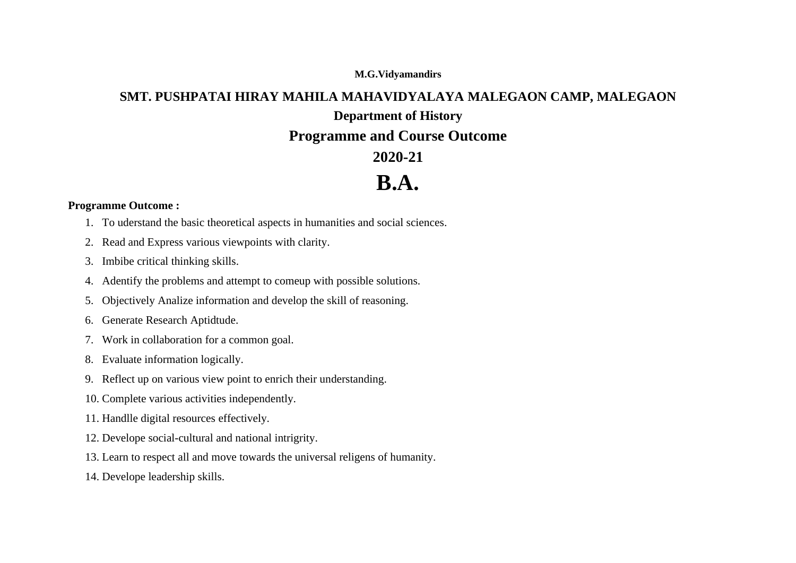#### **M.G.Vidyamandirs**

## **SMT. PUSHPATAI HIRAY MAHILA MAHAVIDYALAYA MALEGAON CAMP, MALEGAON Department of History**

### **Programme and Course Outcome**

### **2020-21**

## **B.A.**

### **Programme Outcome :**

- 1. To uderstand the basic theoretical aspects in humanities and social sciences.
- 2. Read and Express various viewpoints with clarity.
- 3. Imbibe critical thinking skills.
- 4. Adentify the problems and attempt to comeup with possible solutions.
- 5. Objectively Analize information and develop the skill of reasoning.
- 6. Generate Research Aptidtude.
- 7. Work in collaboration for a common goal.
- 8. Evaluate information logically.
- 9. Reflect up on various view point to enrich their understanding.
- 10. Complete various activities independently.
- 11. Handlle digital resources effectively.
- 12. Develope social-cultural and national intrigrity.
- 13. Learn to respect all and move towards the universal religens of humanity.
- 14. Develope leadership skills.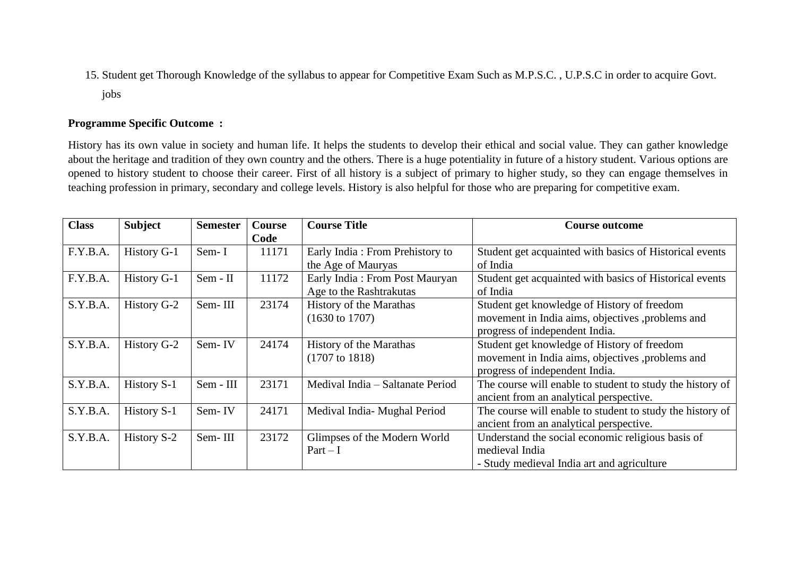15. Student get Thorough Knowledge of the syllabus to appear for Competitive Exam Such as M.P.S.C. , U.P.S.C in order to acquire Govt. jobs

#### **Programme Specific Outcome :**

History has its own value in society and human life. It helps the students to develop their ethical and social value. They can gather knowledge about the heritage and tradition of they own country and the others. There is a huge potentiality in future of a history student. Various options are opened to history student to choose their career. First of all history is a subject of primary to higher study, so they can engage themselves in teaching profession in primary, secondary and college levels. History is also helpful for those who are preparing for competitive exam.

| <b>Class</b> | <b>Subject</b> | <b>Semester</b> | <b>Course</b> | <b>Course Title</b>              | <b>Course outcome</b>                                     |
|--------------|----------------|-----------------|---------------|----------------------------------|-----------------------------------------------------------|
|              |                |                 | Code          |                                  |                                                           |
| F.Y.B.A.     | History G-1    | Sem-I           | 11171         | Early India: From Prehistory to  | Student get acquainted with basics of Historical events   |
|              |                |                 |               | the Age of Mauryas               | of India                                                  |
| F.Y.B.A.     | History G-1    | $Sem - II$      | 11172         | Early India: From Post Mauryan   | Student get acquainted with basics of Historical events   |
|              |                |                 |               | Age to the Rashtrakutas          | of India                                                  |
| S.Y.B.A.     | History G-2    | Sem-III         | 23174         | History of the Marathas          | Student get knowledge of History of freedom               |
|              |                |                 |               | $(1630 \text{ to } 1707)$        | movement in India aims, objectives , problems and         |
|              |                |                 |               |                                  | progress of independent India.                            |
| S.Y.B.A.     | History G-2    | Sem-IV          | 24174         | History of the Marathas          | Student get knowledge of History of freedom               |
|              |                |                 |               | $(1707 \text{ to } 1818)$        | movement in India aims, objectives , problems and         |
|              |                |                 |               |                                  | progress of independent India.                            |
| S.Y.B.A.     | History S-1    | Sem - III       | 23171         | Medival India – Saltanate Period | The course will enable to student to study the history of |
|              |                |                 |               |                                  | ancient from an analytical perspective.                   |
| S.Y.B.A.     | History S-1    | Sem-IV          | 24171         | Medival India- Mughal Period     | The course will enable to student to study the history of |
|              |                |                 |               |                                  | ancient from an analytical perspective.                   |
| S.Y.B.A.     | History S-2    | Sem-III         | 23172         | Glimpses of the Modern World     | Understand the social economic religious basis of         |
|              |                |                 |               | $Part - I$                       | medieval India                                            |
|              |                |                 |               |                                  | - Study medieval India art and agriculture                |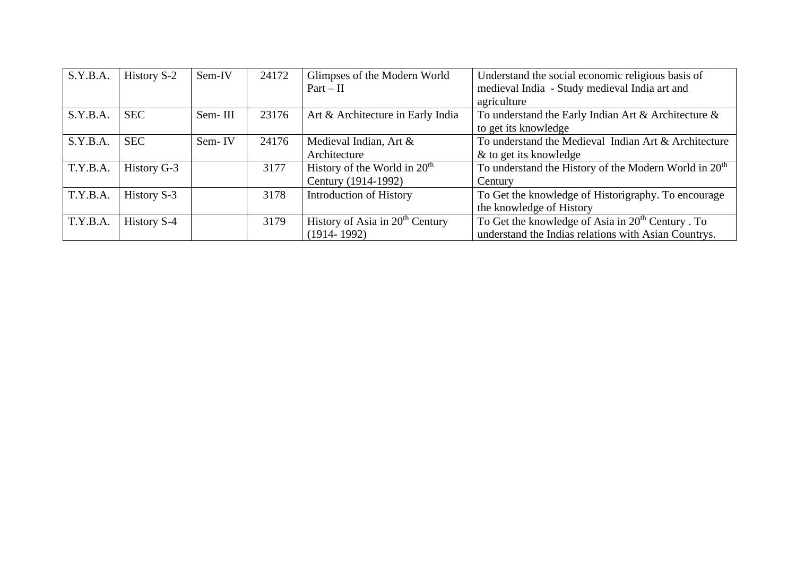| S.Y.B.A. | History S-2 | Sem-IV  | 24172 | Glimpses of the Modern World                | Understand the social economic religious basis of                 |
|----------|-------------|---------|-------|---------------------------------------------|-------------------------------------------------------------------|
|          |             |         |       | $Part - II$                                 | medieval India - Study medieval India art and                     |
|          |             |         |       |                                             | agriculture                                                       |
| S.Y.B.A. | <b>SEC</b>  | Sem-III | 23176 | Art & Architecture in Early India           | To understand the Early Indian Art & Architecture $\&$            |
|          |             |         |       |                                             | to get its knowledge                                              |
| S.Y.B.A. | <b>SEC</b>  | Sem-IV  | 24176 | Medieval Indian, Art &                      | To understand the Medieval Indian Art & Architecture              |
|          |             |         |       | Architecture                                | & to get its knowledge                                            |
| T.Y.B.A. | History G-3 |         | 3177  | History of the World in $20th$              | To understand the History of the Modern World in 20 <sup>th</sup> |
|          |             |         |       | Century (1914-1992)                         | Century                                                           |
| T.Y.B.A. | History S-3 |         | 3178  | <b>Introduction of History</b>              | To Get the knowledge of Historigraphy. To encourage               |
|          |             |         |       |                                             | the knowledge of History                                          |
| T.Y.B.A. | History S-4 |         | 3179  | History of Asia in 20 <sup>th</sup> Century | To Get the knowledge of Asia in 20 <sup>th</sup> Century . To     |
|          |             |         |       | $(1914 - 1992)$                             | understand the Indias relations with Asian Countrys.              |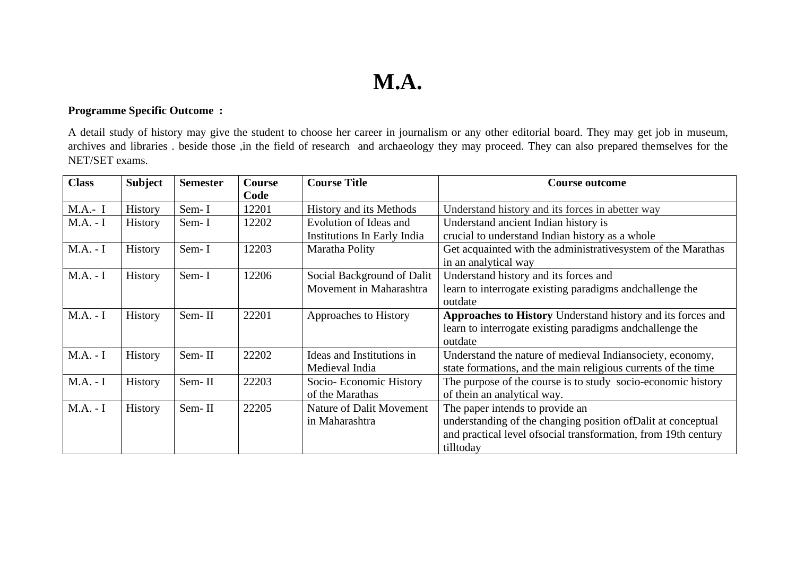# **M.A.**

### **Programme Specific Outcome :**

A detail study of history may give the student to choose her career in journalism or any other editorial board. They may get job in museum, archives and libraries . beside those ,in the field of research and archaeology they may proceed. They can also prepared themselves for the NET/SET exams.

| <b>Class</b> | <b>Subject</b> | <b>Semester</b> | Course | <b>Course Title</b>         | <b>Course outcome</b>                                           |
|--------------|----------------|-----------------|--------|-----------------------------|-----------------------------------------------------------------|
|              |                |                 | Code   |                             |                                                                 |
| $M.A.- I$    | History        | Sem-I           | 12201  | History and its Methods     | Understand history and its forces in abetter way                |
| $M.A. - I$   | <b>History</b> | Sem-I           | 12202  | Evolution of Ideas and      | Understand ancient Indian history is                            |
|              |                |                 |        | Institutions In Early India | crucial to understand Indian history as a whole                 |
| $M.A. - I$   | History        | Sem-I           | 12203  | Maratha Polity              | Get acquainted with the administrativesystem of the Marathas    |
|              |                |                 |        |                             | in an analytical way                                            |
| $M.A. - I$   | History        | Sem-I           | 12206  | Social Background of Dalit  | Understand history and its forces and                           |
|              |                |                 |        | Movement in Maharashtra     | learn to interrogate existing paradigms and challenge the       |
|              |                |                 |        |                             | outdate                                                         |
| $M.A. - I$   | History        | Sem-II          | 22201  | Approaches to History       | Approaches to History Understand history and its forces and     |
|              |                |                 |        |                             | learn to interrogate existing paradigms and challenge the       |
|              |                |                 |        |                             | outdate                                                         |
| $M.A. - I$   | History        | Sem-II          | 22202  | Ideas and Institutions in   | Understand the nature of medieval Indiansociety, economy,       |
|              |                |                 |        | Medieval India              | state formations, and the main religious currents of the time   |
| $M.A. - I$   | History        | Sem-II          | 22203  | Socio-Economic History      | The purpose of the course is to study socio-economic history    |
|              |                |                 |        | of the Marathas             | of thein an analytical way.                                     |
| $M.A. - I$   | <b>History</b> | Sem-II          | 22205  | Nature of Dalit Movement    | The paper intends to provide an                                 |
|              |                |                 |        | in Maharashtra              | understanding of the changing position of Dalit at conceptual   |
|              |                |                 |        |                             | and practical level of social transformation, from 19th century |
|              |                |                 |        |                             | tilltoday                                                       |